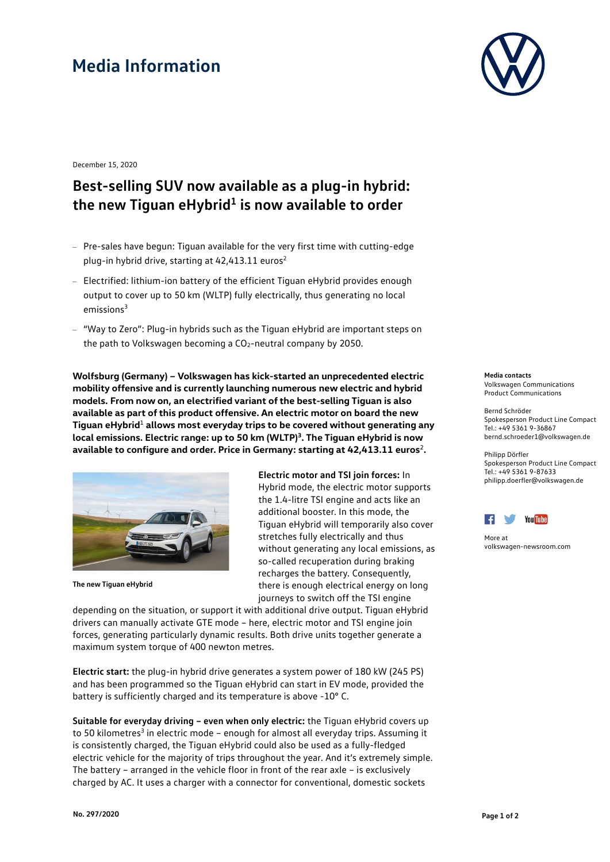## **Media Information**



December 15, 2020

## **Best-selling SUV now available as a plug-in hybrid:** the new Tiguan eHybrid<sup>1</sup> is now available to order

- Pre-sales have begun: Tiguan available for the very first time with cutting-edge plug-in hybrid drive, starting at 42,413.11 euros<sup>2</sup>
- Electrified: lithium-ion battery of the efficient Tiguan eHybrid provides enough output to cover up to 50 km (WLTP) fully electrically, thus generating no local  $emissions<sup>3</sup>$
- "Way to Zero": Plug-in hybrids such as the Tiguan eHybrid are important steps on the path to Volkswagen becoming a CO<sub>2</sub>-neutral company by 2050.

**Wolfsburg (Germany) – Volkswagen has kick-started an unprecedented electric mobility offensive and is currently launching numerous new electric and hybrid models. From now on, an electrified variant of the best-selling Tiguan is also available as part of this product offensive. An electric motor on board the new Tiguan eHybrid**<sup>1</sup> **allows most everyday trips to be covered without generating any local emissions. Electric range: up to 50 km (WLTP)3. The Tiguan eHybrid is now available to configure and order. Price in Germany: starting at 42,413.11 euros**<sup>2</sup>**.**



**The new Tiguan eHybrid**

**Electric motor and TSI join forces:** In Hybrid mode, the electric motor supports the 1.4-litre TSI engine and acts like an additional booster. In this mode, the Tiguan eHybrid will temporarily also cover stretches fully electrically and thus without generating any local emissions, as so-called recuperation during braking recharges the battery. Consequently, there is enough electrical energy on long journeys to switch off the TSI engine

depending on the situation, or support it with additional drive output. Tiguan eHybrid drivers can manually activate GTE mode – here, electric motor and TSI engine join forces, generating particularly dynamic results. Both drive units together generate a maximum system torque of 400 newton metres.

**Electric start:** the plug-in hybrid drive generates a system power of 180 kW (245 PS) and has been programmed so the Tiguan eHybrid can start in EV mode, provided the battery is sufficiently charged and its temperature is above -10° C.

**Suitable for everyday driving – even when only electric:** the Tiguan eHybrid covers up to 50 kilometres<sup>3</sup> in electric mode – enough for almost all everyday trips. Assuming it is consistently charged, the Tiguan eHybrid could also be used as a fully-fledged electric vehicle for the majority of trips throughout the year. And it's extremely simple. The battery – arranged in the vehicle floor in front of the rear axle – is exclusively charged by AC. It uses a charger with a connector for conventional, domestic sockets

**Media contacts** Volkswagen Communications Product Communications

Bernd Schröder Spokesperson Product Line Compact Tel.: +49 5361 9-36867 bernd.schroeder1@volkswagen.de

Philipp Dörfler Spokesperson Product Line Compact Tel.: +49 5361 9-87633 [philipp.doerfler@volkswagen.de](mailto:Name@volkswagen.de)



More at [volkswagen-newsroom.com](https://www.volkswagen-media-services.com/)